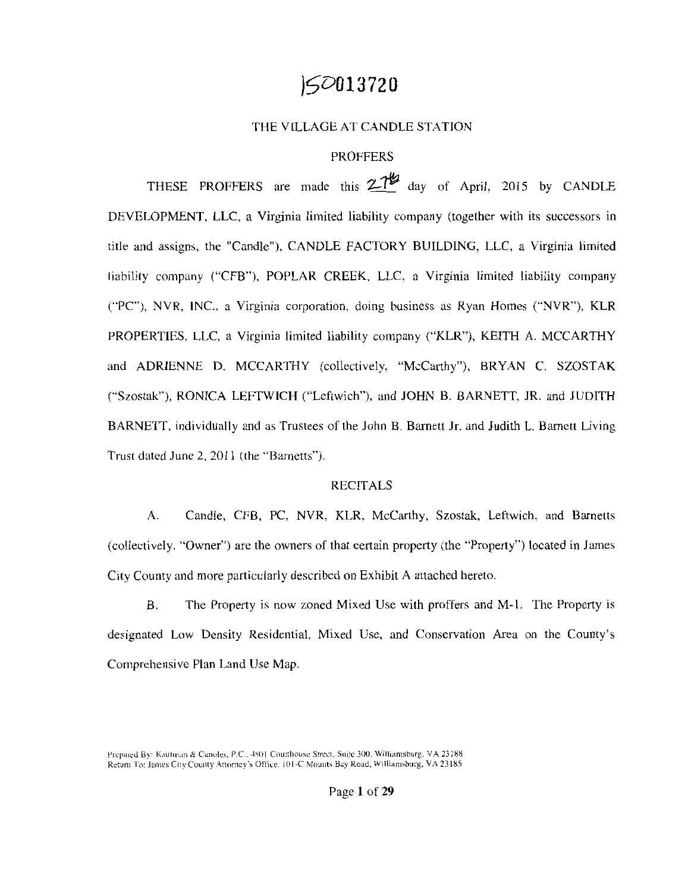# **j5D013720**

## THE VILLAGE AT CANDLE STATION

## **PROFFERS**

THESE PROFFERS are made this  $27\frac{10}{2}$  day of April, 2015 by CANDLE DEVELOPMENT, LLC, a Virginia limited liability company (together with its successors in title and assigns, the "Candle"), CANDLE FACTORY BUILDING, LLC, a Virginia limited liability company ("CFB"), POPLAR CREEK, LLC, a Virginia limited liability company ("PC"), NVR, INC., a Virginia corporation, doing business as Ryan Homes ("NVR"), KLR PROPERTIES, LLC, a Virginia limited liability company ("KLR"), KEITH A. MCCARTHY and ADRIENNE D. MCCARTHY (collectively, "McCarthy"), BRYAN C. SZOSTAK ("Szostak"), RONICA LEFTWICH ("Leftwich"), and JOHN B. BARNETT, JR. and JUDITH BARNETT, individually and as Trustees of the John B. Barnett Jr. and Judith L. Barnett Living Trust dated June 2, 2011 (the "Barnetts").

## RECITALS

A. Candle, CFB, PC, NVR, KLR, McCarthy, Szostak, Leftwich, and Barnetts (collectively. "Owner") are the owners of that certain property (the "Property") located in James City County and more particularly described on Exhibit A attached hereto.

B. The Property is now zoned Mixed Use with proffers and M-1. The Property is designated Low Density Residential, Mixed Use, and Conservation Area on the County's Comprehensive Plan Land Use Map.

Prepared By: Kaufman & Canoles, P.C., 4801 Courthouse Street, Suite 300, Williamsburg, VA 23188 Return To: James City County Attorney's Office, 101-C Mounts Bay Road, Williamsburg, VA 23185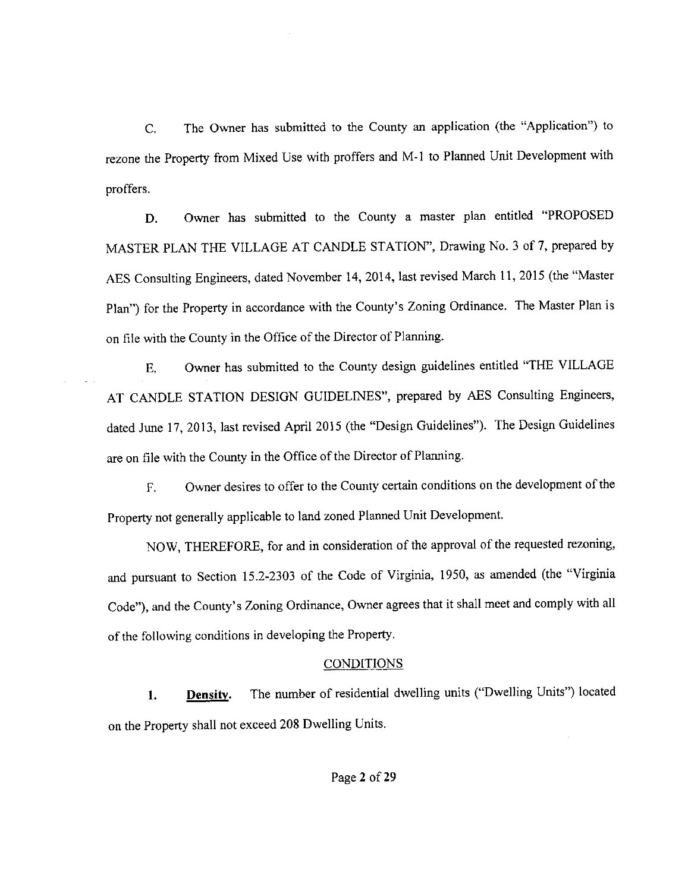C. The Owner has submitted to the County an application (the "Application") to rezone the Property from Mixed Use with proffers and M-1 to Planned Unit Development with proffers.

D. Owner has submitted to the County a master plan entitled "PROPOSED MASTER PLAN THE VILLAGE AT CANDLE STATION", Drawing No. 3 of 7, prepared by AES Consulting Engineers, dated November 14, 2014, last revised March 11, 2015 (the "Master Plan") for the Property in accordance with the County's Zoning Ordinance. The Master Plan is on file with the County in the Office of the Director of Planning.

E. Owner has submitted to the County design guidelines entitled "THE VILLAGE AT CANDLE STATION DESIGN GUIDELINES", prepared by AES Consulting Engineers, dated June 17, 2013, last revised April 2015 (the "Design Guidelines"). The Design Guidelines are on file with the County in the Office of the Director of Planning.

F. Owner desires to offer to the County certain conditions on the development of the Property not generally applicable to land zoned Planned Unit Development.

NOW, THEREFORE, for and in consideration of the approval of the requested rezoning, and pursuant to Section 15.2-2303 of the Code of Virginia, 1950, as amended (the "Virginia Code"), and the County's Zoning Ordinance, Owner agrees that it shall meet and comply with all of the following conditions in developing the Property.

## CONDITIONS

**1. Density.** The number of residential dwelling units ("Dwelling Units") located on the Property shall not exceed 208 Dwelling Units.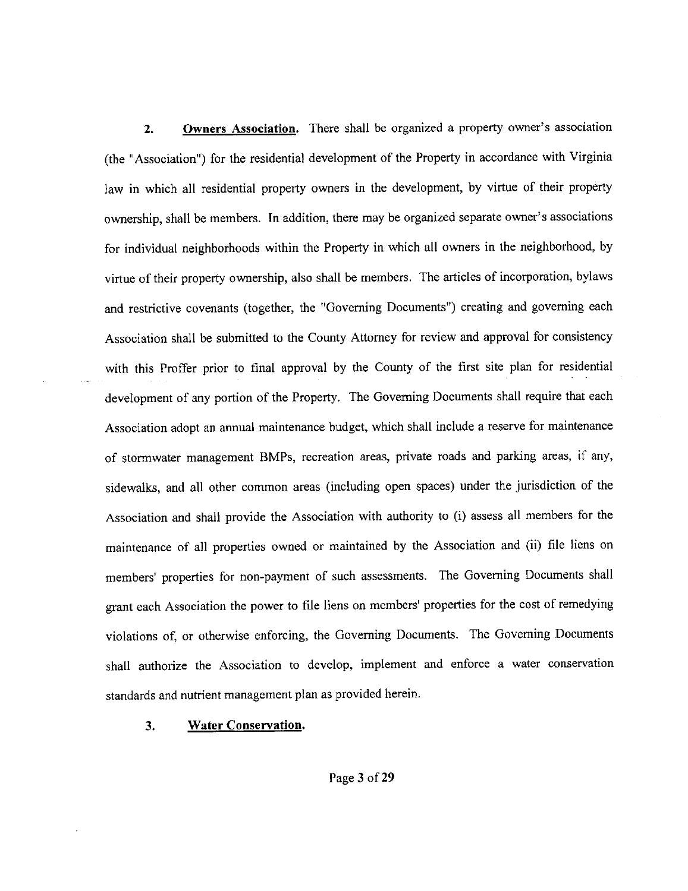**2. Owners Association.** There shall be organized a property owner's association (the "Association") for the residential development of the Property in accordance with Virginia law in which all residential property owners in the development, by virtue of their property ownership, shall be members. In addition, there may be organized separate owner's associations for individual neighborhoods within the Property in which all owners in the neighborhood, by virtue of their property ownership, also shall be members. The articles of incorporation, bylaws and restrictive covenants (together, the "Governing Documents") creating and governing each Association shall be submitted to the County Attorney for review and approval for consistency with this Proffer prior to final approval by the County of the first site plan for residential development of any portion of the Property. The Governing Documents shall require that each Association adopt an annual maintenance budget, which shall include a reserve for maintenance of stormwater management BMPs, recreation areas, private roads and parking areas, if any, sidewalks, and all other common areas (including open spaces) under the jurisdiction of the Association and shall provide the Association with authority to (i) assess all members for the maintenance of all properties owned or maintained by the Association and (ii) file liens on members' properties for non-payment of such assessments. The Governing Documents shall grant each Association the power to file liens on members' properties for the cost of remedying violations of, or otherwise enforcing, the Governing Documents. The Governing Documents shall authorize the Association to develop, implement and enforce a water conservation standards and nutrient management plan as provided herein.

**3. Water Conservation.**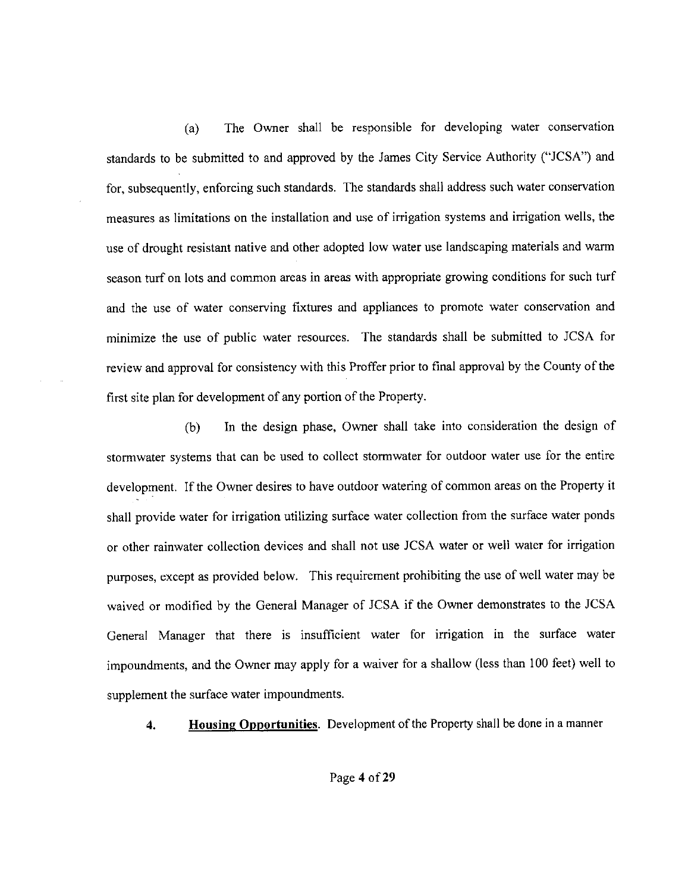(a) The Owner shall be responsible for developing water conservation standards to be submitted to and approved by the James City Service Authority ("JCSA") and for, subsequently, enforcing such standards. The standards shall address such water conservation measures as limitations on the installation and use of irrigation systems and irrigation wells, the use of drought resistant native and other adopted low water use landscaping materials and warm season turf on lots and common areas in areas with appropriate growing conditions for such turf and the use of water conserving fixtures and appliances to promote water conservation and minimize the use of public water resources. The standards shall be submitted to JCSA for review and approval for consistency with this Proffer prior to final approval by the County of the first site plan for development of any portion of the Property.

(b) In the design phase, Owner shall take into consideration the design of storrnwater systems that can be used to collect storrnwater for outdoor water use for the entire development. If the Owner desires to have outdoor watering of common areas on the Property it shall provide water for irrigation utilizing surface water collection from the surface water ponds or other rainwater collection devices and shall not use JCSA water or well water for irrigation purposes, except as provided below. This requirement prohibiting the use of well water may be waived or modified by the General Manager of JCSA if the Owner demonstrates to the JCSA General Manager that there is insufficient water for irrigation in the surface water impoundments, and the Owner may apply for a waiver for a shallow (less than 100 feet) well to supplement the surface water impoundments.

**4. Housing Opportunities.** Development of the Property shall be done in a manner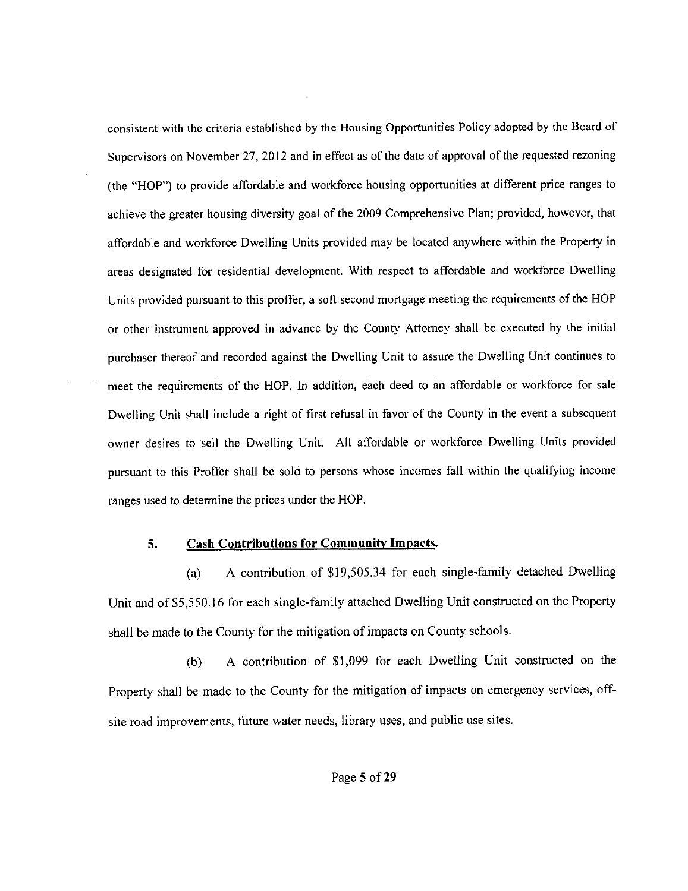consistent with the criteria established by the Housing Opportunities Policy adopted by the Board of Supervisors on November 27, 2012 and in effect as of the date of approval of the requested rezoning (the "HOP") to provide affordable and workforce housing opportunities at different price ranges to achieve the greater housing diversity goal of the 2009 Comprehensive Plan; provided, however, that affordable and workforce Dwelling Units provided may be located anywhere within the Property in areas designated for residential development. With respect to affordable and workforce Dwelling Units provided pursuant to this proffer, a soft second mortgage meeting the requirements of the HOP or other instrument approved in advance by the County Attorney shall be executed by the initial purchaser thereof and recorded against the Dwelling Unit to assure the Dwelling Unit continues to meet the requirements of the HOP. In addition, each deed to an affordable or workforce for sale Dwelling Unit shall include a right of first refusal in favor of the County in the event a subsequent owner desires to sell the Dwelling Unit. All affordable or workforce Dwelling Units provided pursuant to this Proffer shall be sold to persons whose incomes fall within the qualifying income ranges used to determine the prices under the HOP.

### **5. Cash Contributions for Community Impacts.**

(a) A contribution of \$19,505.34 for each single-family detached Dwelling Unit and of \$5,550.16 for each single-family attached Dwelling Unit constructed on the Property shall be made to the County for the mitigation of impacts on County schools.

(b) A contribution of \$1,099 for each Dwelling Unit constructed on the Property shall be made to the County for the mitigation of impacts on emergency services, offsite road improvements, future water needs, library uses, and public use sites.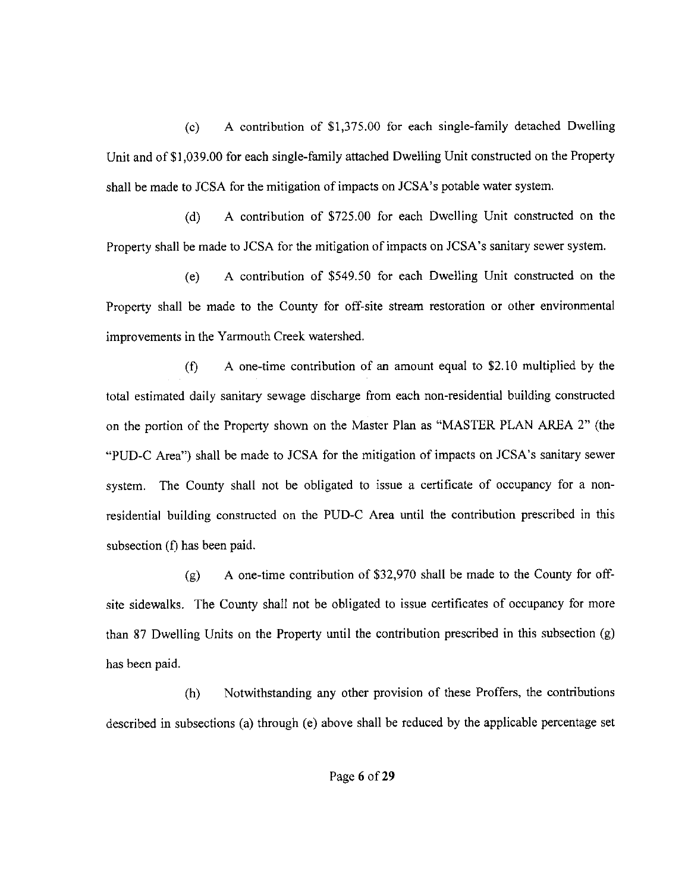(c) A contribution of \$1,375.00 for each single-family detached Dwelling Unit and of\$1,039.00 for each single-family attached Dwelling Unit constructed on the Property shall be made to JCSA for the mitigation of impacts on JCSA's potable water system.

(d) A contribution of \$725.00 for each Dwelling Unit constructed on the Property shall be made to JCSA for the mitigation of impacts on JCSA's sanitary sewer system.

(e) A contribution of \$549.50 for each Dwelling Unit constructed on the Property shall be made to the County for off-site stream restoration or other environmental improvements in the Yarmouth Creek watershed.

(f) A one-time contribution of an amount equal to \$2.10 multiplied by the total estimated daily sanitary sewage discharge from each non-residential building constructed on the portion of the Property shown on the Master Plan as "MASTER PLAN AREA 2" (the "PUD-C Area") shall be made to JCSA for the mitigation of impacts on JCSA's sanitary sewer system. The County shall not be obligated to issue a certificate of occupancy for a nonresidential building constructed on the PUD-C Area until the contribution prescribed in this subsection (f) has been paid.

(g) A one-time contribution of \$32,970 shall be made to the County for offsite sidewalks. The County shall not be obligated to issue certificates of occupancy for more than 87 Dwelling Units on the Property until the contribution prescribed in this subsection (g) has been paid.

(h) Notwithstanding any other provision of these Proffers, the contributions described in subsections (a) through (e) above shall be reduced by the applicable percentage set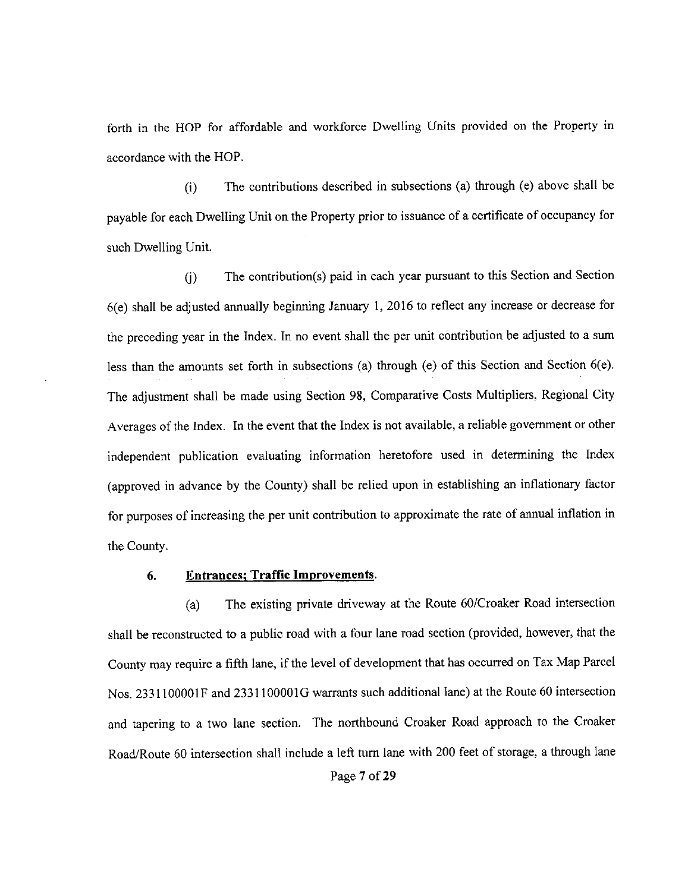forth in the HOP for affordable and workforce Dwelling Units provided on the Property in accordance with the HOP.

(i) The contributions described in subsections (a) through (e) above shall be payable for each Dwelling Unit on the Property prior to issuance of a certificate of occupancy for such Dwelling Unit.

U) The contribution(s) paid in each year pursuant to this Section and Section 6(e) shall be adjusted annually beginning January 1, 2016 to reflect any increase or decrease for the preceding year in the Index. In no event shall the per unit contribution be adjusted to a sum less than the amounts set forth in subsections (a) through (e) of this Section and Section 6(e). The adjustment shall be made using Section 98, Comparative Costs Multipliers, Regional City Averages of the Index. In the event that the Index is not available, a reliable government or other independent publication evaluating information heretofore used in determining the Index (approved in advance by the County) shall be relied upon in establishing an inflationary factor for purposes of increasing the per unit contribution to approximate the rate of annual inflation in the County.

## **6. Entrances; Traffic Improvements.**

(a) The existing private driveway at the Route 60/Croaker Road intersection shall be reconstructed to a public road with a four lane road section (provided, however, that the County may require a fifth lane, if the level of development that has occurred on Tax Map Parcel Nos. 2331 lOOOOlF and 2331 lOOOOlG warrants such additional lane) at the Route 60 intersection and tapering to a two lane section. The northbound Croaker Road approach to the Croaker Road/Route 60 intersection shall include a left tum lane with 200 feet of storage, a through lane Page 7 of 29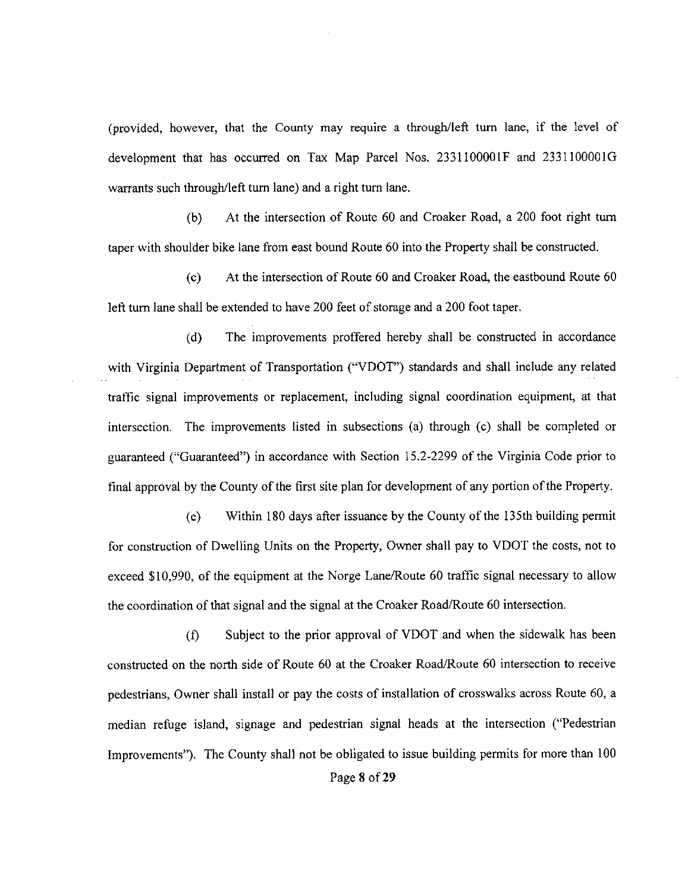(provided, however, that the County may require a through/left turn lane, if the level of development that has occurred on Tax Map Parcel Nos.  $2331100001F$  and  $2331100001G$ warrants such through/left turn lane) and a right tum lane.

(b) At the intersection of Route 60 and Croaker Road, a 200 foot right turn taper with shoulder bike lane from east bound Route 60 into the Property shall be constructed.

( c) At the intersection of Route 60 and Croaker Road, the eastbound Route 60 left turn lane shall be extended to have 200 feet of storage and a 200 foot taper.

( d) The improvements proffered hereby shall be constructed in accordance with Virginia Department of Transportation ("VDOT") standards and shall include any related traffic signal improvements or replacement, including signal coordination equipment, at that intersection. The improvements listed in subsections (a) through (c) shall be completed or guaranteed ("Guaranteed") in accordance with Section 15.2-2299 of the Virginia Code prior to final approval by the County of the first site plan for development of any portion of the Property.

(e) Within 180 days after issuance by the County of the 135th building permit for construction of Dwelling Units on the Property, Owner shall pay to VDOT the costs, not to exceed \$10,990, of the equipment at the Norge Lane/Route 60 traffic signal necessary to allow the coordination of that signal and the signal at the Croaker Road/Route 60 intersection.

(f) Subject to the prior approval of VDOT and when the sidewalk has been constructed on the north side of Route 60 at the Croaker Road/Route 60 intersection to receive pedestrians, Owner shall install or pay the costs of installation of crosswalks across Route 60, a median refuge island, signage and pedestrian signal heads at the intersection ("Pedestrian Improvements"). The County shall not be obligated to issue building permits for more than 100 Page 8 of 29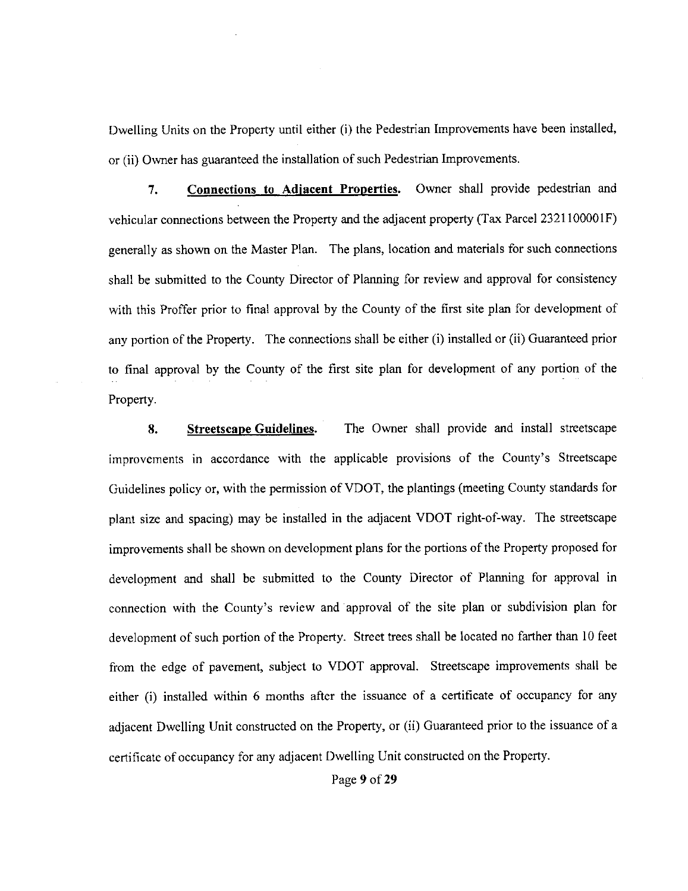Dwelling Units on the Property until either (i) the Pedestrian Improvements have been installed, or (ii) Owner has guaranteed the installation of such Pedestrian Improvements.

**7. Connections to Adjacent Properties.** Owner shall provide pedestrian and vehicular connections between the Property and the adjacent property (Tax Parcel 2321100001F) generally as shown on the Master Plan. The plans, location and materials for such connections shall be submitted to the County Director of Planning for review and approval for consistency with this Proffer prior to final approval by the County of the first site plan for development of any portion of the Property. The connections shall be either (i) installed or (ii) Guaranteed prior to final approval by the County of the first site plan for development of any portion of the Property.

**8. Streetscape Guidelines.** The Owner shall provide and install streetscape improvements in accordance with the applicable provisions of the County's Streetscape Guidelines policy or, with the permission of VDOT, the plantings (meeting County standards for plant size and spacing) may be installed in the adjacent VDOT right-of-way. The streetscape improvements shall be shown on development plans for the portions of the Property proposed for development and shall be submitted to the County Director of Planning for approval in connection with the County's review and approval of the site plan or subdivision plan for development of such portion of the Property. Street trees shall be located no farther than 10 feet from the edge of pavement, subject to VDOT approval. Streetscape improvements shall be either (i) installed within 6 months after the issuance of a certificate of occupancy for any adjacent Dwelling Unit constructed on the Property, or (ii) Guaranteed prior to the issuance of a certificate of occupancy for any adjacent Dwelling Unit constructed on the Property.

Page **9** of29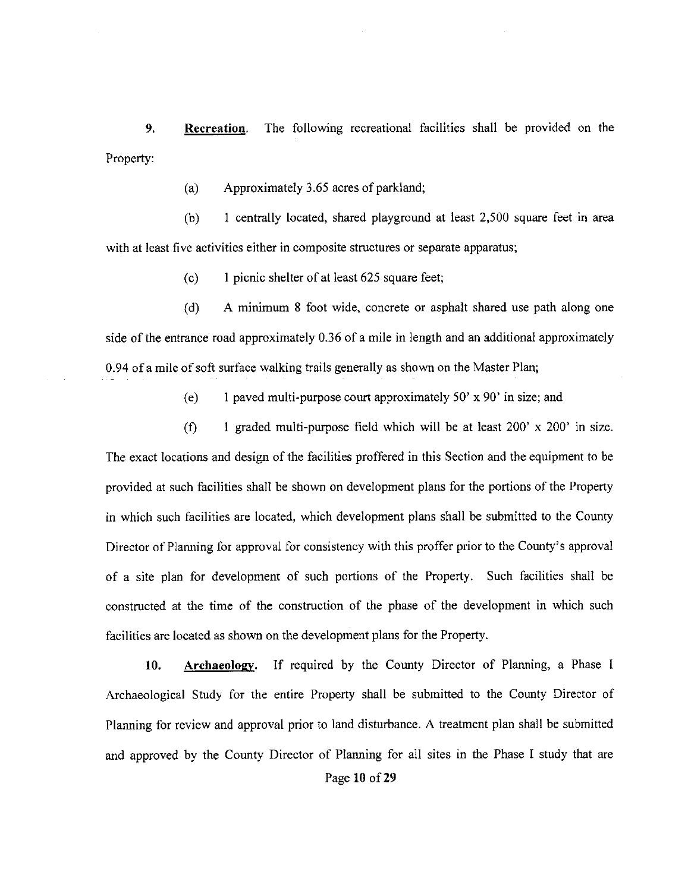**9. Recreation.** The following recreational facilities shall be provided on the Property:

(a) Approximately 3.65 acres of parkland;

(b) 1 centrally located, shared playground at least 2,500 square feet in area with at least five activities either in composite structures or separate apparatus;

 $(c)$  I picnic shelter of at least 625 square feet;

( d) A minimum 8 foot wide, concrete or asphalt shared use path along one side of the entrance road approximately 0.36 of a mile in length and an additional approximately 0.94 of a mile of soft surface walking trails generally as shown on the Master Plan;

(e) 1 paved multi-purpose court approximately  $50' \times 90'$  in size; and

(f) 1 graded multi-purpose field which will be at least  $200' \times 200'$  in size. The exact locations and design of the facilities proffered in this Section and the equipment to be provided at such facilities shall be shown on development plans for the portions of the Property in which such facilities are located, which development plans shall be submitted to the County Director of Planning for approval for consistency with this proffer prior to the County's approval of a site plan for development of such portions of the Property. Such facilities shall be constructed at the time of the construction of the phase of the development in which such facilities are located as shown on the development plans for the Property.

**10. Archaeology.** If required by the County Director of Planning, a Phase I Archaeological Study for the entire Property shall be submitted to the County Director of Planning for review and approval prior to land disturbance. A treatment plan shall be submitted and approved by the County Director of Planning for all sites in the Phase I study that are Page **10** of29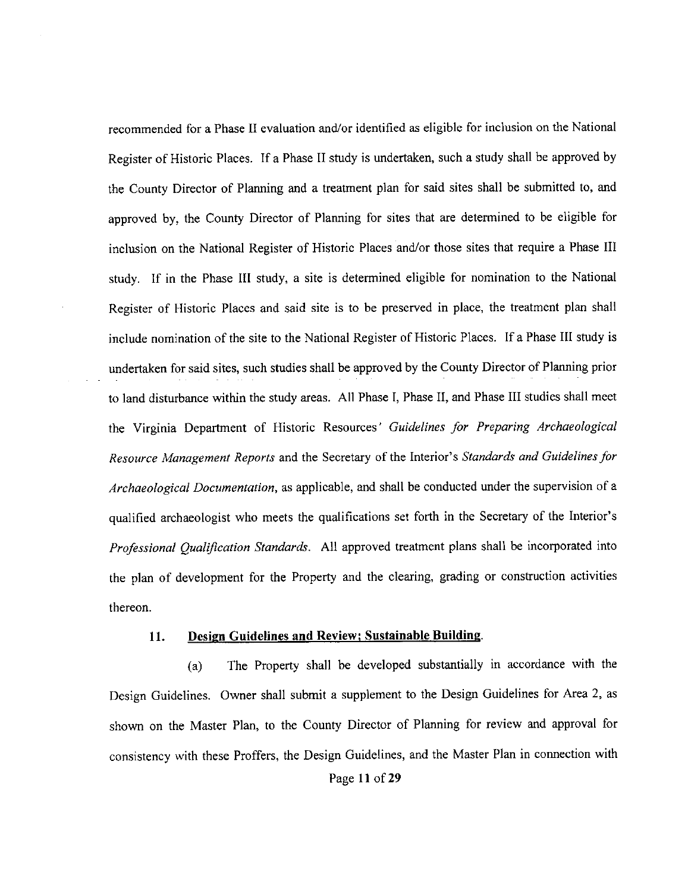recommended for a Phase II evaluation and/or identified as eligible for inclusion on the National Register of Historic Places. If a Phase II study is undertaken, such a study shall be approved by the County Director of Planning and a treatment plan for said sites shall be submitted to, and approved by, the County Director of Planning for sites that are determined to be eligible for inclusion on the National Register of Historic Places and/or those sites that require a Phase III study. If in the Phase III study, a site is determined eligible for nomination to the National Register of Historic Places and said site is to be preserved in place, the treatment plan shall include nomination of the site to the National Register of Historic Places. If a Phase III study is undertaken for said sites, such studies shall be approved by the County Director of Planning prior to land disturbance within the study areas. All Phase I, Phase II, and Phase III studies shall meet the Virginia Department of Historic Resources' *Guidelines for Preparing Archaeological Resource Management Reports* and the Secretary of the Interior's *Standards and Guidelines for Archaeological Documentation,* as applicable, and shall be conducted under the supervision of a qualified archaeologist who meets the qualifications set forth in the Secretary of the Interior's *Professional Qualification Standards.* All approved treatment plans shall be incorporated into the plan of development for the Property and the clearing, grading or construction activities thereon.

#### **11. Design Guidelines and Review; Sustainable Building.**

(a) The Property shall be developed substantially m accordance with the Design Guidelines. Owner shall submit a supplement to the Design Guidelines for Area 2, as shown on the Master Plan, to the County Director of Planning for review and approval for consistency with these Proffers, the Design Guidelines, and the Master Plan in connection with Page **11** of29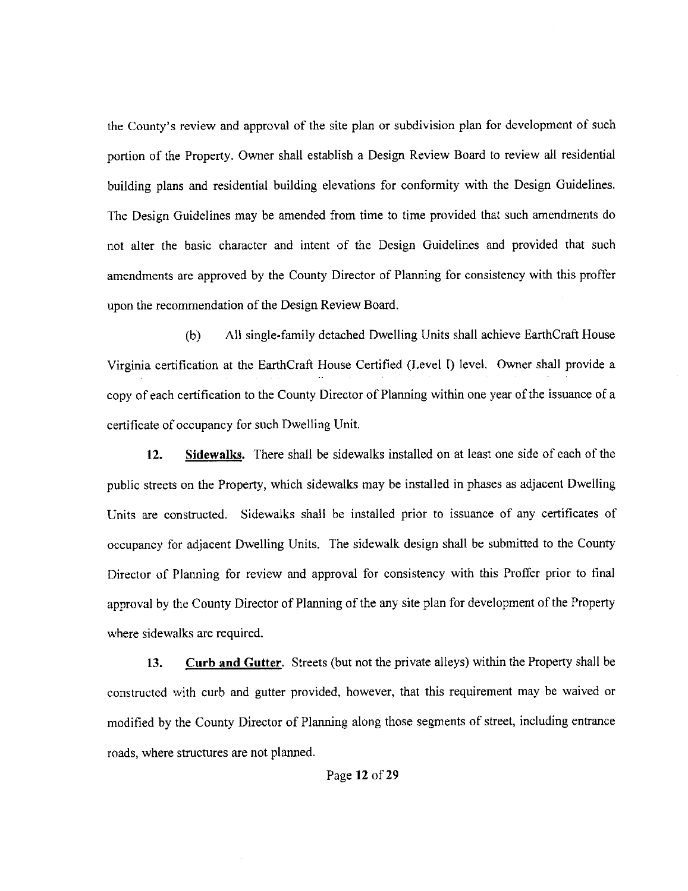the County's review and approval of the site plan or subdivision plan for development of such portion of the Property. Owner shall establish a Design Review Board to review all residential building plans and residential building elevations for conformity with the Design Guidelines. The Design Guidelines may be amended from time to time provided that such amendments do not alter the basic character and intent of the Design Guidelines and provided that such amendments are approved by the County Director of Planning for consistency with this proffer upon the recommendation of the Design Review Board.

(b) All single-family detached Dwelling Units shall achieve EarthCraft House Virginia certification at the EarthCraft House Certified (Level I) level. Owner shall provide a copy of each certification to the County Director of Planning within one year of the issuance of a certificate of occupancy for such Dwelling Unit.

**12. Sidewalks.** There shall be sidewalks installed on at least one side of each of the public streets on the Property, which sidewalks may be installed in phases as adjacent Dwelling Units are constructed. Sidewalks shall be installed prior to issuance of any certificates of occupancy for adjacent Dwelling Units. The sidewalk design shall be submitted to the County Director of Planning for review and approval for consistency with this Proffer prior to final approval by the County Director of Planning of the any site plan for development of the Property where sidewalks are required.

**13. Curb and Gutter.** Streets (but not the private alleys) within the Property shall be constructed with curb and gutter provided, however, that this requirement may be waived or modified by the County Director of Planning along those segments of street, including entrance roads, where structures are not planned.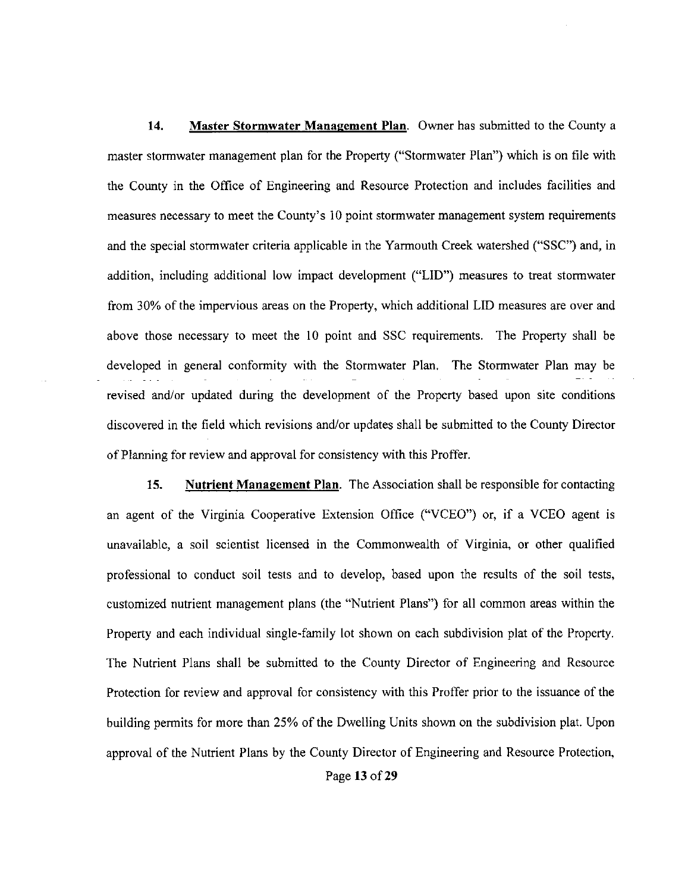**14. Master Stormwater Management Plan.** Owner has submitted to the County a master stormwater management plan for the Property ("Stormwater Plan") which is on file with the County in the Office of Engineering and Resource Protection and includes facilities and measures necessary to meet the County's 10 point stormwater management system requirements and the special stormwater criteria applicable in the Yarmouth Creek watershed ("SSC") and, in addition, including additional low impact development ("LID") measures to treat stormwater from 30% of the impervious areas on the Property, which additional LID measures are over and above those necessary to meet the 10 point and SSC requirements. The Property shall be developed in general conformity with the Stormwater Plan. The Stormwater Plan may be revised and/or updated during the development of the Property based upon site conditions discovered in the field which revisions and/or updates shall be submitted to the County Director of Planning for review and approval for consistency with this Proffer.

15. **Nutrient Management Plan.** The Association shall be responsible for contacting an agent of the Virginia Cooperative Extension Office ("VCEO") or, if a VCEO agent is unavailable, a soil scientist licensed in the Commonwealth of Virginia, or other qualified professional to conduct soil tests and to develop, based upon the results of the soil tests, customized nutrient management plans (the "Nutrient Plans") for all common areas within the Property and each individual single-family lot shown on each subdivision plat of the Property. The Nutrient Plans shall be submitted to the County Director of Engineering and Resource Protection for review and approval for consistency with this Proffer prior to the issuance of the building permits for more than 25% of the Dwelling Units shown on the subdivision plat. Upon approval of the Nutrient Plans by the County Director of Engineering and Resource Protection,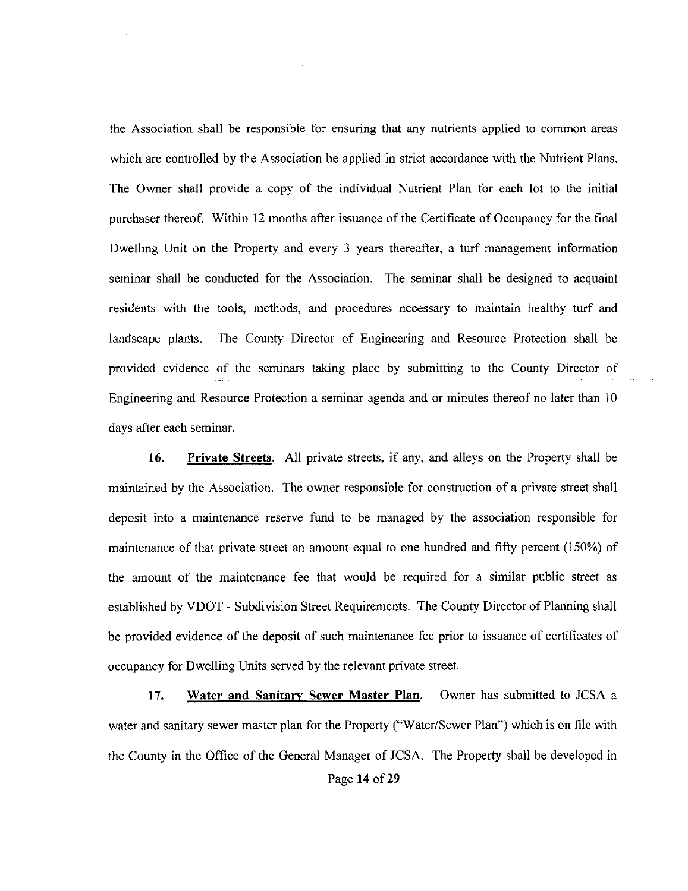the Association shall be responsible for ensuring that any nutrients applied to common areas which are controlled by the Association be applied in strict accordance with the Nutrient Plans. The Owner shall provide a copy of the individual Nutrient Plan for each lot to the initial purchaser thereof. Within 12 months after issuance of the Certificate of Occupancy for the final Dwelling Unit on the Property and every 3 years thereafter, a turf management information seminar shall be conducted for the Association. The seminar shall be designed to acquaint residents with the tools, methods, and procedures necessary to maintain healthy turf and landscape plants. The County Director of Engineering and Resource Protection shall be provided evidence of the seminars taking place by submitting to the County Director of Engineering and Resource Protection a seminar agenda and or minutes thereof no later than IO days after each seminar.

**16. Private Streets.** All private streets, if any, and alleys on the Property shall be maintained by the Association. The owner responsible for construction of a private street shall deposit into a maintenance reserve fund to be managed by the association responsible for maintenance of that private street an amount equal to one hundred and fifty percent (150%) of the amount of the maintenance fee that would be required for a similar public street as established by VDOT - Subdivision Street Requirements. The County Director of Planning shall be provided evidence of the deposit of such maintenance fee prior to issuance of certificates of occupancy for Dwelling Units served by the relevant private street.

17. **Water and Sanitary Sewer Master Plan.** Owner has submitted to JCSA a water and sanitary sewer master plan for the Property ("Water/Sewer Plan") which is on file with the County in the Office of the General Manager of JCSA. The Property shall be developed in Page **14** of29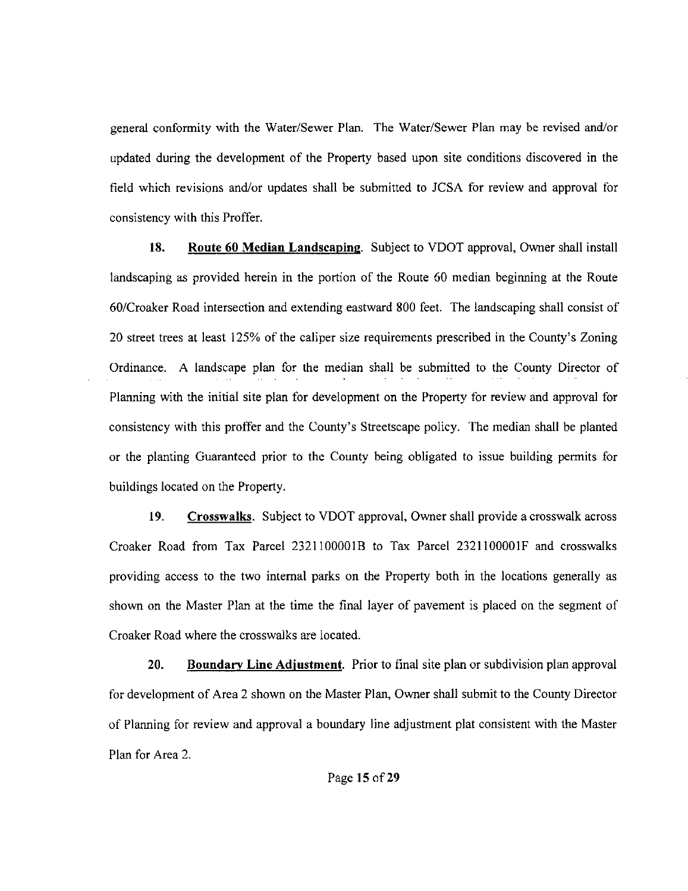general conformity with the Water/Sewer Plan. The Water/Sewer Plan may be revised and/or updated during the development of the Property based upon site conditions discovered in the field which revisions and/or updates shall be submitted to JCSA for review and approval for consistency with this Proffer.

**18. Route 60 Median Landscaping.** Subject to VDOT approval, Owner shall install landscaping as provided herein in the portion of the Route 60 median beginning at the Route 60/Croaker Road intersection and extending eastward 800 feet. The landscaping shall consist of 20 street trees at least 125% of the caliper size requirements prescribed in the County's Zoning Ordinance. A landscape plan for the median shall be submitted to the County Director of Planning with the initial site plan for development on the Property for review and approval for consistency with this proffer and the County's Streetscape policy. The median shall be planted or the planting Guaranteed prior to the County being obligated to issue building permits for buildings located on the Property.

**19. Crosswalks.** Subject to VDOT approval, Owner shall provide a crosswalk across Croaker Road from Tax Parcel 2321 IOOOOIB to Tax Parcel 2321 IOOOOIF and crosswalks providing access to the two internal parks on the Property both in the locations generally as shown on the Master Plan at the time the final layer of pavement is placed on the segment of Croaker Road where the crosswalks are located.

20. **Boundary Line Adjustment.** Prior to final site plan or subdivision plan approval for development of Area 2 shown on the Master Plan, Owner shall submit to the County Director of Planning for review and approval a boundary line adjustment plat consistent with the Master Plan for Area 2.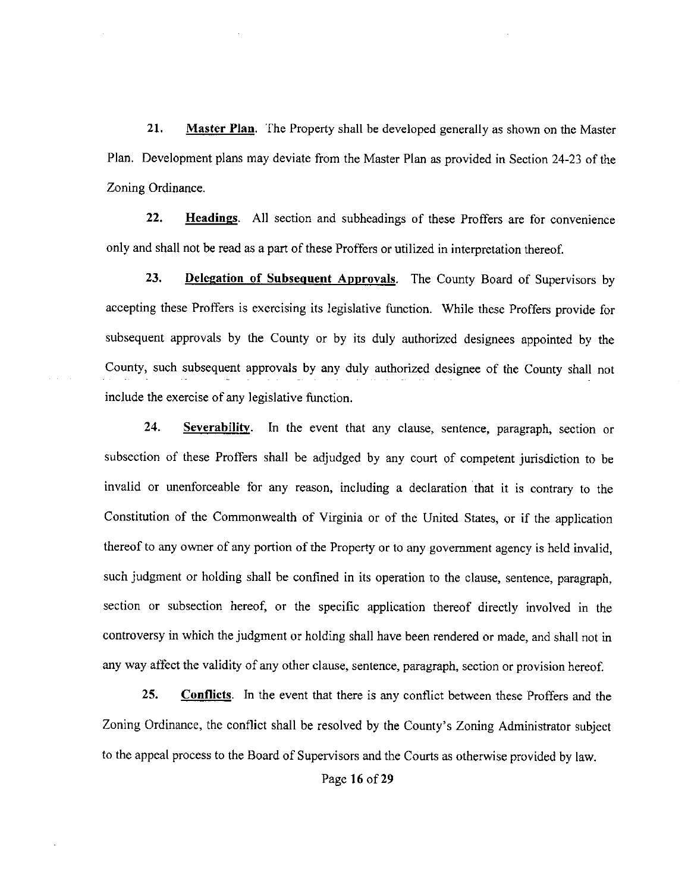**21. Master Plan.** The Property shall be developed generally as shown on the Master Plan. Development plans may deviate from the Master Plan as provided in Section 24-23 of the Zoning Ordinance.

**22. Headings.** All section and subheadings of these Proffers are for convenience only and shall not be read as a part of these Proffers or utilized in interpretation thereof.

**23. Delegation of Subsequent Approvals.** The County Board of Supervisors by accepting these Proffers is exercising its legislative function. While these Proffers provide for subsequent approvals by the County or by its duly authorized designees appointed by the County, such subsequent approvals by any duly authorized designee of the County shall not include the exercise of any legislative function.

**24. Severability.** In the event that any clause, sentence, paragraph, section or subsection of these Proffers shall be adjudged by any court of competent jurisdiction to be invalid or unenforceable for any reason, including a declaration that it is contrary to the Constitution of the Commonwealth of Virginia or of the United States, or if the application thereof to any owner of any portion of the Property or to any government agency is held invalid, such judgment or holding shall be confined in its operation to the clause, sentence, paragraph, section or subsection hereof, or the specific application thereof directly involved in the controversy in which the judgment or holding shall have been rendered or made, and shall not in any way affect the validity of any other clause, sentence, paragraph, section or provision hereof.

25. **Conflicts.** In the event that there is any conflict between these Proffers and the Zoning Ordinance, the conflict shall be resolved by the County's Zoning Administrator subject to the appeal process to the Board of Supervisors and the Courts as otherwise provided by law.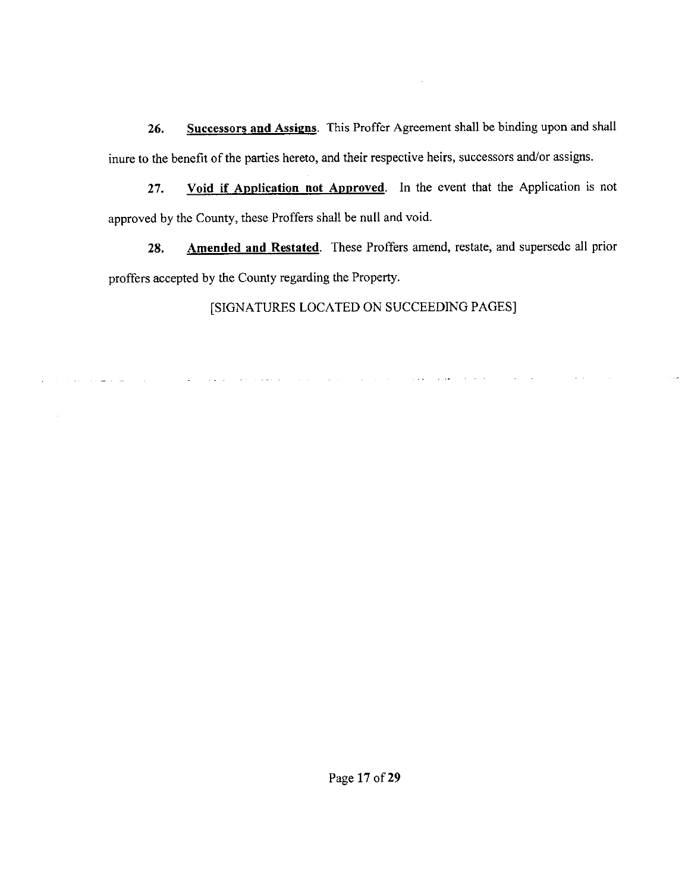26. Successors and Assigns. This Proffer Agreement shall be binding upon and shall inure to the benefit of the parties hereto, and their respective heirs, successors and/or assigns.

 $\sim$ 

27. Void if Application not Approved. In the event that the Application is not approved by the County, these Proffers shall be null and void.

28. Amended and Restated. These Proffers amend, restate, and supersede all prior proffers accepted by the County regarding the Property.

[SIGNATURES LOCATED ON SUCCEEDING PAGES]

المنابعات التمام والمجتمع المحتمل التبايع والمنابي والمناب والمناب والمستحد والمتارين

سائل السائل المتعاد

 $\sim 100$  km  $^{-2}$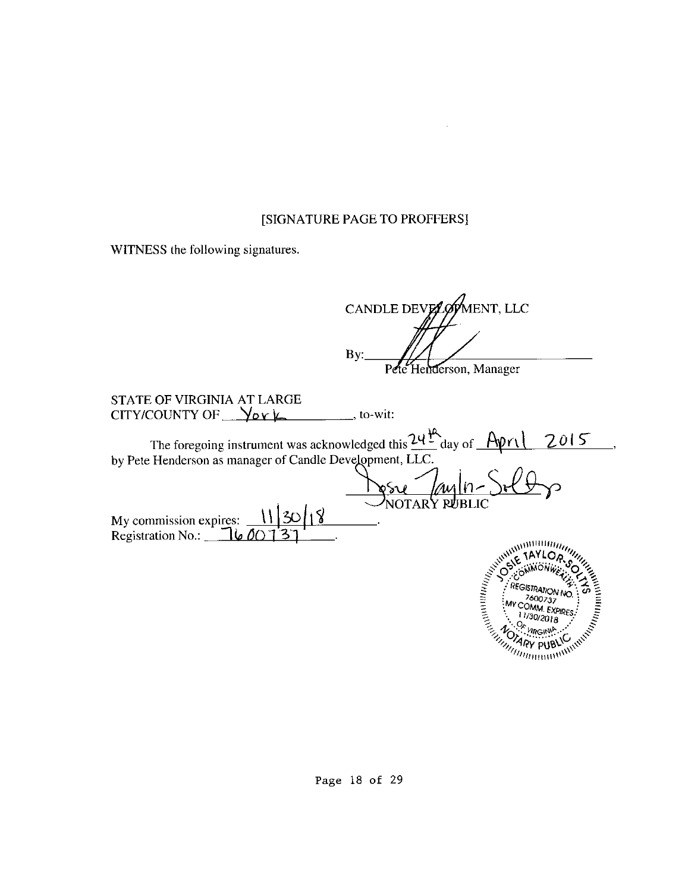$\sim$ 

WITNESS the following signatures.

|                                                                                                                                                                                                       | ENT, LLC<br>CANDLE DEVELOP                                                                                                                                                                                                                                                                                                                                           |
|-------------------------------------------------------------------------------------------------------------------------------------------------------------------------------------------------------|----------------------------------------------------------------------------------------------------------------------------------------------------------------------------------------------------------------------------------------------------------------------------------------------------------------------------------------------------------------------|
|                                                                                                                                                                                                       | By:<br>Pete Henderson, Manager                                                                                                                                                                                                                                                                                                                                       |
| <b>STATE OF VIRGINIA AT LARGE</b><br>CITY/COUNTY OF $\sqrt{\mathsf{d} \mathsf{v} \mathsf{t}}$                                                                                                         | _, to-wit:                                                                                                                                                                                                                                                                                                                                                           |
| The foregoing instrument was acknowledged this $24\frac{16}{16}$ day of $\frac{66}{16}$<br>by Pete Henderson as manager of Candle Development, LLC.<br>My commission expires:<br>Registration No.: 16 | 2015<br>Municianal<br>rang dia kaominina dia kaominina dia kaominina dia kaominina dia kaominina dia kaominina dia kaominina dia kaominina dia k<br>Kaominina dia kaominina dia kaominina dia kaominina dia kaominina dia kaominina dia kaominina dia k<br><b>REGISTRATION NC</b><br>7600737<br>MY COMM. EXPIRES<br>$\eta_{\eta}$ $\eta_{\eta}$ $\eta_{\eta}$ $\eta$ |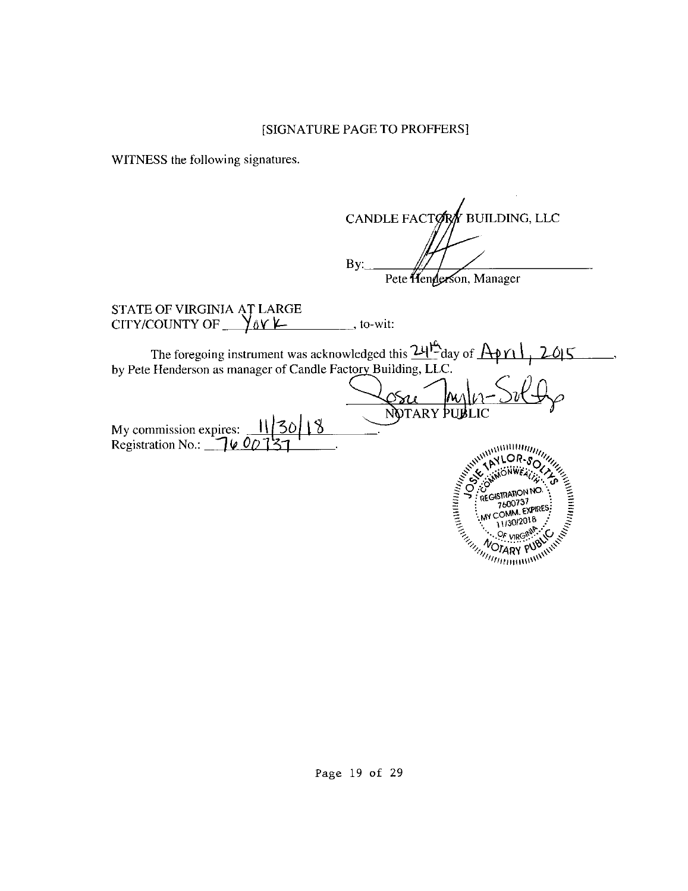WITNESS the following signatures.

CANDLE FACTORY BUILDING, LLC By: Pete Henderson, Manager STATE OF VIRGINIA ĄȚ LARGE CITY/COUNTY OF  $\sqrt{\Delta Y}$   $\mu$  ..., to-wit: The foregoing instrument was acknowledged this  $24\frac{\mu}{\lambda}$ day of  $\frac{A\phi\eta}{\lambda}$ ,  $2015$ by Pete Henderson as manager of Candle Factory Building, LLC. Sur Angles Sulfy My commission expires:  $\frac{11}{30}$  | 18 ny commission expres. <u>11 50 | 1 0</u><br>Registration No.: <u>1 0 0 1 3 1</u> ANTOR-SOLUMENT SURVEY AND ANNUAL SURVEY AND CALL OF SOLUME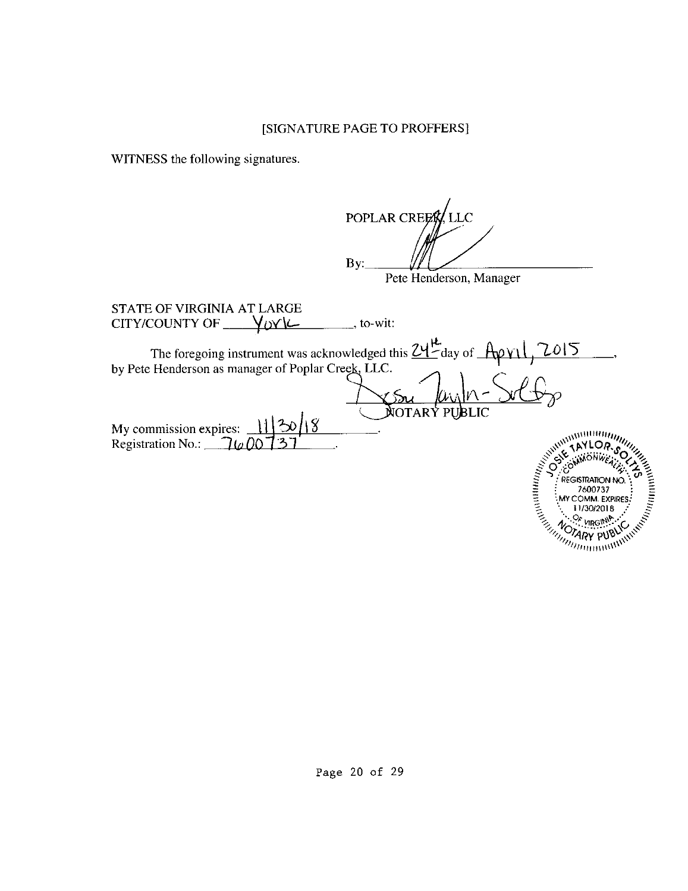WITNESS the following signatures.

POPLAR CREE LLC By: Pete Henderson, Manager STATE OF VIRGINIA AT LARGE CITY/COUNTY OF  $\_\,\gamma_{\text{OY}}$  $\frac{1}{\sqrt{1-\frac{1}{\sqrt{1-\frac{1}{\sqrt{1-\frac{1}{\sqrt{1-\frac{1}{\sqrt{1-\frac{1}{\sqrt{1-\frac{1}{\sqrt{1-\frac{1}{\sqrt{1-\frac{1}{\sqrt{1-\frac{1}{\sqrt{1-\frac{1}{\sqrt{1-\frac{1}{\sqrt{1-\frac{1}{\sqrt{1-\frac{1}{\sqrt{1-\frac{1}{\sqrt{1-\frac{1}{\sqrt{1-\frac{1}{\sqrt{1-\frac{1}{\sqrt{1-\frac{1}{\sqrt{1-\frac{1}{\sqrt{1-\frac{1}{\sqrt{1-\frac{1}{\sqrt{1-\frac{1}{\sqrt{1-\frac{1}{\sqrt{1-\frac{1$ The foregoing instrument was acknowledged this  $24\frac{\mu}{a}$  day of  $\frac{A\beta\gamma}{\sqrt{2015}}$ The foregoing instrument was acknowledged this  $L1$  day of  $\frac{1}{L1}$  by Pete Henderson as manager of Poplar Creek, LLC.  $\frac{|\mathcal{L}_{\mathcal{L}}|}{\mathcal{L}_{\mathcal{L}}|_{\mathcal{L}}|_{\mathcal{L}}}\sqrt{\frac{|\mathcal{L}_{\mathcal{L}}|}{|\mathcal{L}_{\mathcal{L}}|_{\mathcal{L}}|_{\mathcal{L}}}}$ My commission expires: <u>11 <sup>2</sup>30 18</u><br>Registration No.: <u>16 00 131</u>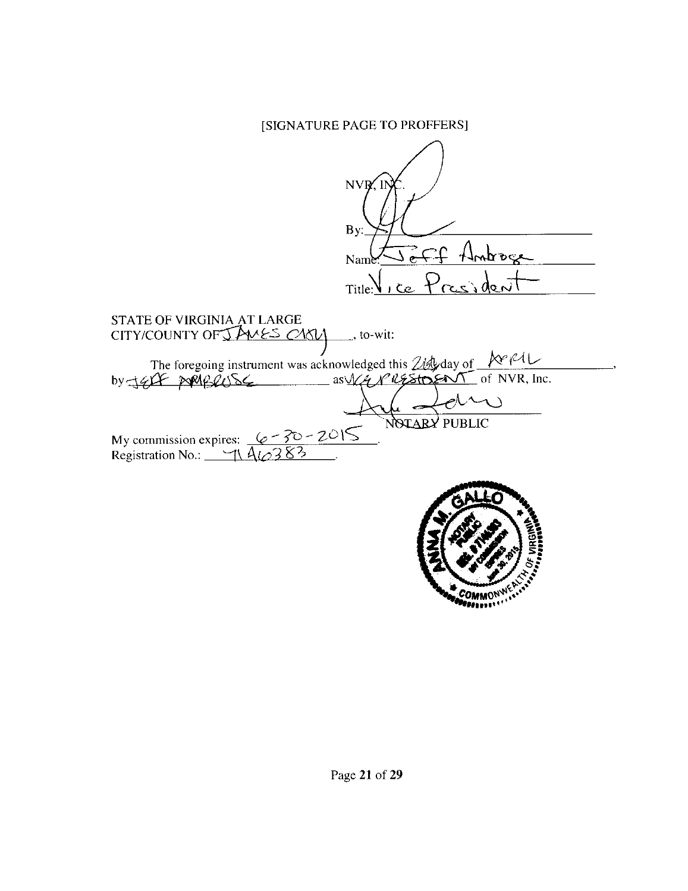NVR, By:  $\sim$ or $d_{\ell\ell}$ Nam ice Presiden Title: STATE OF VIRGINIA AT LARGE CITY/COUNTY OF JAMES CARLY  $\overline{\phantom{a}}$ , to-wit: The foregoing instrument was acknowledged this 214 day of \_  $MCML$ by JEDF ARABRUSE of NVR, Inc. Δ NOTARY PUBLIC My commission expires:  $6 - 30 - 2015$ Registration No.:  $\frac{1}{\sqrt{A}}$ ત્રુ

COMMO<sup>ni</sup><br>Maaillee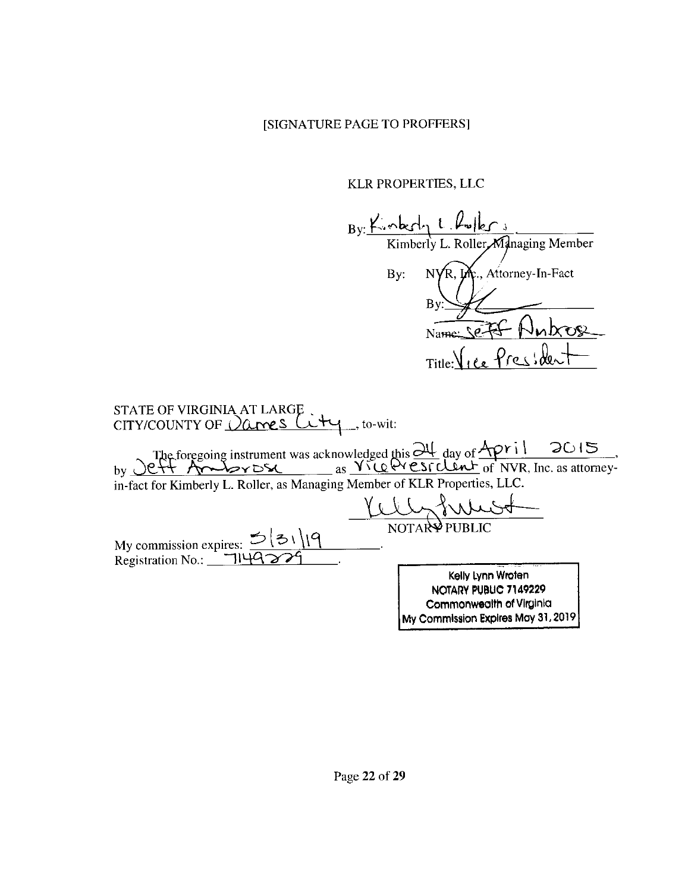KLR PROPERTIES, LLC

 $By: \frac{\cancel{K_3 \cdot \text{bcl}}_1 \cdot \cancel{L_9 \cdot \text{bcl}}_2}{\text{Kimberly } L. \text{ Roller-Mahaging Member}}$ By: NYR, Inc., Attorney-In-Fact **By** Name: Sefer Nubos Title: Vice President

| STATE OF VIRGINIA AT LARGE<br>CITY/COUNTY OF $\sqrt{a}$ rres $\sqrt{t}$<br>, to-wit:                                                                                                                                                                                                                    |                                                                                                              |
|---------------------------------------------------------------------------------------------------------------------------------------------------------------------------------------------------------------------------------------------------------------------------------------------------------|--------------------------------------------------------------------------------------------------------------|
| The foregoing instrument was acknowledged this 24 day of April 2015<br>2ft Ambrosa as Vice President of NVR, Inc. as attorney-<br>$\mathbf{b} \mathbf{v}$<br>in-fact for Kimberly L. Roller, as Managing Member of KLR Properties, LLC.<br>My commission expires: $5 31 9$<br>Registration No.: 1149229 | NOTAR <sup>A</sup> PUBLIC                                                                                    |
|                                                                                                                                                                                                                                                                                                         | Kelly Lynn Wroten<br>NOTARY PUBLIC 7149229<br>Commonwealth of Virginia<br>My Commission Expires May 31, 2019 |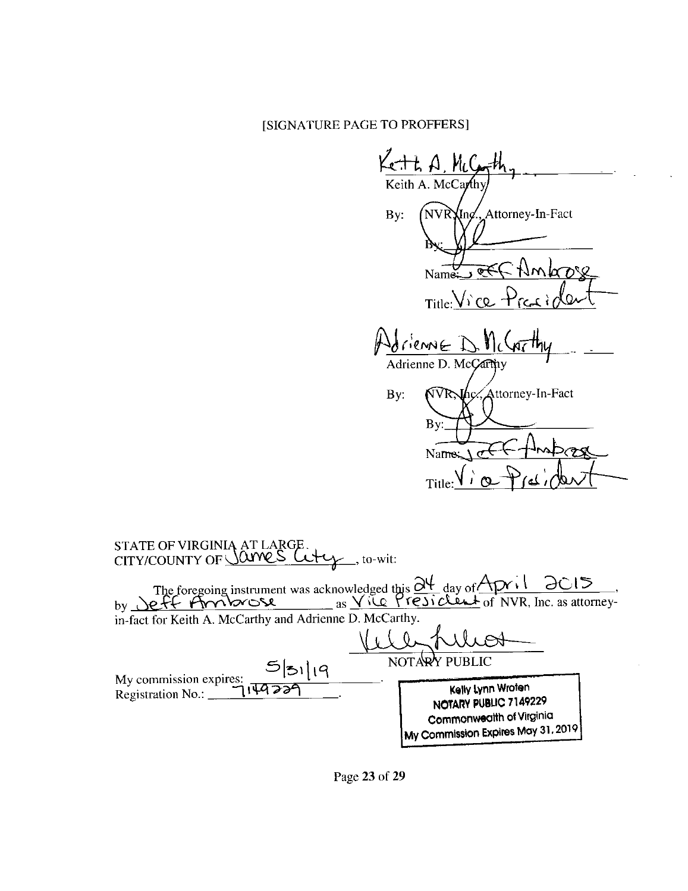$KCHA, MC$ Keith A. McCarth Attorney-In-Fact By: NVR**)** (Inc ল Name  $Title: Viewve$ riennE I Adrienne D. McCarthy Attorney-In-Fact By: NVRNhc В١ Name Title STATE OF VIRGINIA AT LARGE<br>CITY/COUNTY OF <u>Same S</u> , to-wit: The foregoing instrument was acknowledged this  $\frac{\partial \Psi}{\partial y}$  day of April 2015, in-fact for Keith A. McCarthy and Adrienne D. McCarthy. NOTARY PUBLIC 5|31|19 My commission expires: Kelly Lynn Wroten 149229 Registration No.:  $\overline{\phantom{a}}$ NOTARY PUBLIC 7149229 Commonwealth of Virginia My Commission Expires May 31, 2019

Page 23 of 29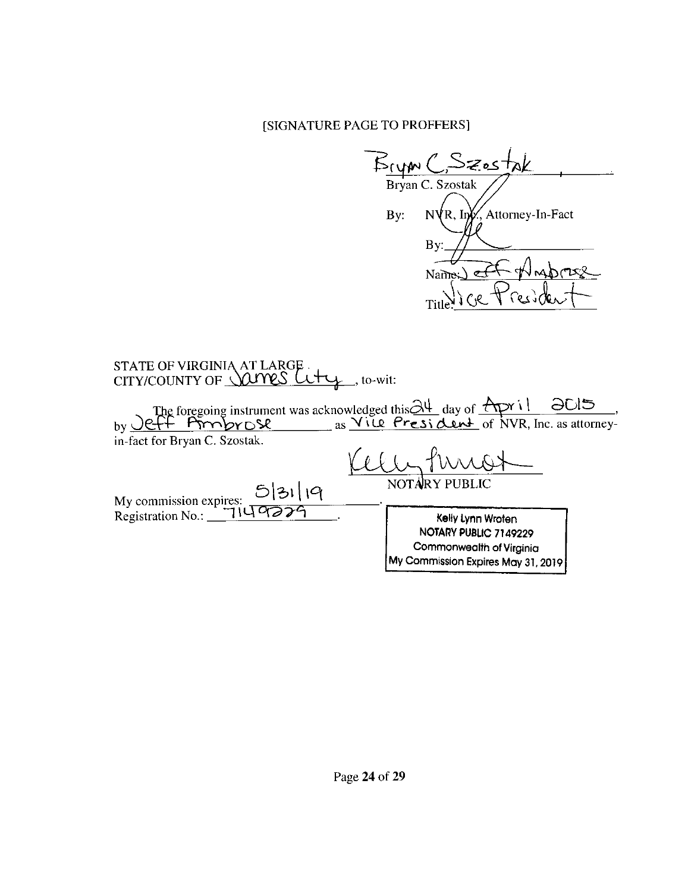Brym C. Szostak Bryan C. Szostak  $NVR$ , In $K$ , Attorney-In-Fact By: **B**y Names)  $\epsilon$ **Titl** STATE OF VIRGINIA AT LARGE.<br>CITY/COUNTY OF <u>Vary S</u> Let y<sub>1</sub>, to-wit: by <u>Jeff Probrose</u> as <u>Vice President</u> of NVR, Inc. as attorney-<br>by <u>Jeff Probrose</u> as <u>Vice President</u> of NVR, Inc. as attorneyin-fact for Bryan C. Szostak. **NOTAR** My commission expires: 5 31 19 Kelly Lynn Wroten NOTARY PUBLIC 7149229 Commonwealth of Virginia My Commission Expires May 31, 2019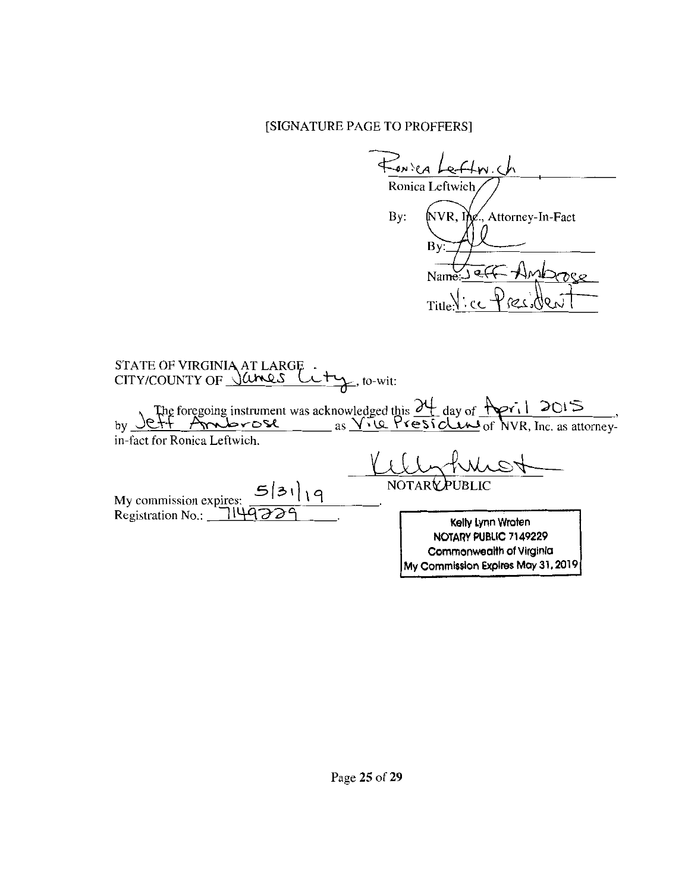FONSEA Leftin.ch Ronica Leftwich By: NVR, Ing., Attorney-In-Fact ) هټ MOMPO Name Title  $\sim$  c ١O STATE OF VIRGINIA AT LARGE CITY/COUNTY OF James  $\uparrow$ , to-wit: τ by Jeff Ambrose as XII day of  $2015$  $\overline{\mathcal{A}}$  of NVR, Inc. as attorneyin-fact for Ronica Leftwich **NOTARY**  $5|31|19$ My commission expires: Registration No.:  $\overline{\phantom{a}}$ ٦۱ Kelly Lynn Wroten NOTARY PUBLIC 7149229 Commonwealth of Virginia My Commission Expires May 31, 2019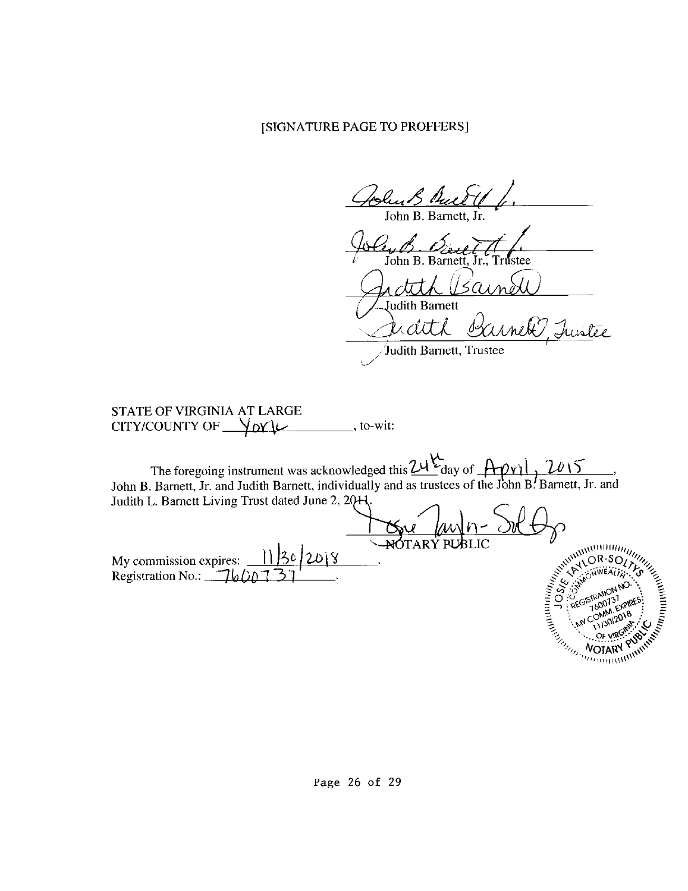Hunt Pues John B. Barnett.

John B. Barnet nstee

 $5a$ 

Judith Barnett x dit L

Judith Barnett, Trustee

STATE OF VIRGINIA AT LARGE CITY/COUNTY OF  $\sqrt{\alpha}$ 

The foregoing instrument was acknowledged this  $24\frac{\mu}{\alpha}$  day of  $\frac{1001}{\alpha}$ ,  $\frac{2015}{\alpha}$ , John B. Barnett, Jr. and Judith Barnett, individually and as trustees of the John B. Barnett, Jr. and Judith L. Barnett Living Trust dated June 2, 20H <u>Gu (Mn-</u><br>NOTARY PUBLIC A MOTARY PUBLIC CONTROL CONTROL CONTROL CONTROL CONTROL CONTROL CONTROL CONTROL CONTROL CONTROL CONTROL CONTROL CONTROL CONTROL CONTROL CONTROL CONTROL CONTROL CONTROL CONTROL CONTROL CONTROL CONTROL CONTROL CONTROL CONTRO

My commission expires:  $11/30/2018$ <br>Registration No.: 7600737

Page 26 of 29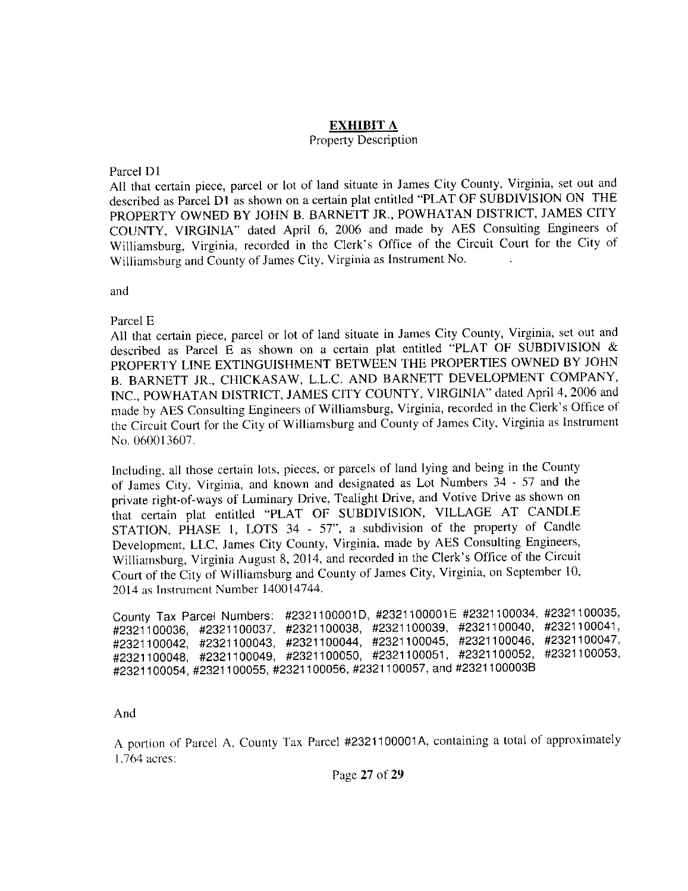## **EXHIBIT A**

## Property Description

## Parcel DI

All that certain piece, parcel or lot of land situate in James City County, Virginia, set out and described as Parcel DI as shown on a certain plat entitled "PLAT OF SUBDIVISION ON THE PROPERTY OWNED BY JOHN B. BARNETT JR., POWHATAN DISTRICT, JAMES CITY COUNTY, VIRGINIA" dated April 6, 2006 and made by AES Consulting Engineers of Williamsburg, Virginia, recorded in the Clerk's Office of the Circuit Court for the City of Williamsburg and County of James City, Virginia as Instrument No.

and

Parcel E

All that certain piece, parcel or lot of land situate in James City County, Virginia, set out and described as Parcel E as shown on a certain plat entitled "PLAT OF SUBDIVISION & PROPERTY LINE EXTINGUISHMENT BETWEEN THE PROPERTIES OWNED BY JOHN B. BARNETT JR., CHICKASAW, L.L.C. AND BARNETT DEVELOPMENT COMPANY, INC., POWHATAN DISTRICT, JAMES CITY COUNTY, VIRGINIA" dated April 4, 2006 and made by AES Consulting Engineers of Williamsburg, Virginia, recorded in the Clerk's Office of the Circuit Court for the City of Williamsburg and County of James City, Virginia as Instrument No. 060013607.

Including, all those certain lots, pieces, or parcels of land lying and being in the County of James City, Virginia, and known and designated as Lot Numbers 34 - 57 and the private right-of-ways of Luminary Drive, Tealight Drive, and Votive Drive as shown on that certain plat entitled "PLAT OF SUBDIVISION, VILLAGE AT CANDLE STATION, PHASE 1, LOTS 34 - 57", a subdivision of the property of Candle Development, LLC, James City County, Virginia, made by AES Consulting Engineers, Williamsburg, Virginia August 8, 2014, and recorded in the Clerk's Office of the Circuit Court of the City of Williamsburg and County of James City, Virginia, on September 10, 2014 as Instrument Number 140014744.

County Tax Parcel Numbers: #2321100001D, #2321100001E #2321100034, #2321100035, #2321100036, #2321100037, #2321100038, #2321100039, #2321100040, #2321100041, #2321100042, #2321100043, #2321100044, #2321100045, #2321100046, #2321100047, #2321100048, #2321100049, #2321100050, #2321100051, #2321100052, #2321100053, #2321100054,#2321100055,#2321100056,#2321100057, and#2321100003B

And

A portion of Parcel A, County Tax Parcel #2321100001 A, containing a total of approximately 1.764 acres:

Page 27 of 29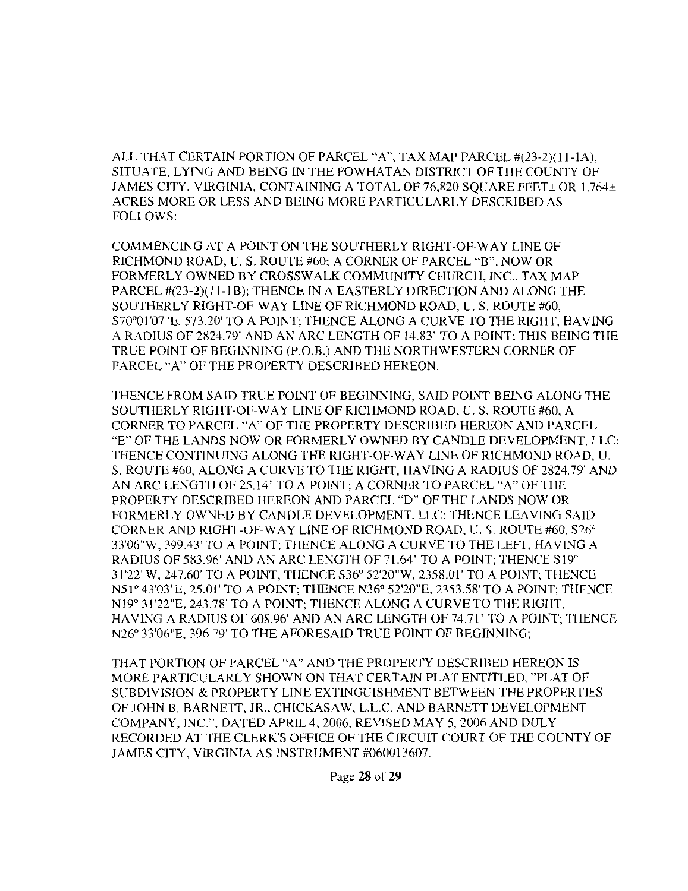ALL THAT CERTAIN PORTION OF PARCEL "A", TAX MAP PARCEL #(23-2)(11-1A), SITUATE, LYING AND BEING IN THE POWHATAN DISTRICT OF THE COUNTY OF JAMES CITY, VIRGINIA, CONTAINING A TOTAL OF 76,820 SQUARE FEET± OR 1.764± ACRES MORE OR LESS AND BEING MORE PARTICULARLY DESCRIBED AS FOLLOWS:

COMMENCING AT A POINT ON THE SOUTHERLY RIGHT-OF-WAY LINE OF RICHMOND ROAD, U.S. ROUTE #60; A CORNER OF PARCEL "B", NOW OR FORMERLY OWNED BY CROSSWALK COMMUNITY CHURCH, INC., TAX MAP PARCEL #(23-2)(11-IB); THENCE IN A EASTERLY DIRECTION AND ALONG THE SOUTHERLY RIGHT-OF-WAY LINE OF RICHMOND ROAD, U.S. ROUTE #60, 570°0 l '07"E, 573.20' TO A POINT; THENCE ALONG A CURVE TO THE RIGHT, HAVING A RADIUS OF 2824.79' AND AN ARC LENGTH OF 14.83' TO A POINT; THIS BEING THE TRUE POINT OF BEGINNING (P.O.B.) AND THE NORTHWESTERN CORNER OF PARCEL "A" OF THE PROPERTY DESCRIBED HEREON.

THENCE FROM SAID TRUE POINT OF BEGINNING, SAID POINT BEING ALONG THE SOUTHERLY RIGHT-OF-WAY LINE OF RICHMOND ROAD, U.S. ROUTE #60, A CORNER TO PARCEL "A" OF THE PROPERTY DESCRIBED HEREON AND PARCEL "E" OF THE LANDS NOW OR FORMERLY OWNED BY CANDLE DEVELOPMENT, LLC; THENCE CONTINUING ALONG THE RIGHT-OF-WAY LINE OF RICHMOND ROAD, U. S. ROUTE #60, ALONG A CURVE TO THE RIGHT, HAVING A RADIUS OF 2824.79' AND AN ARC LENGTH OF 25.14' TO A POINT; A CORNER TO PARCEL "A" OF THE PROPERTY DESCRIBED HEREON AND PARCEL "D" OF THE LANDS NOW OR FORMERLY OWNED BY CANDLE DEVELOPMENT, LLC; THENCE LEAVING SAID CORNER AND RIGHT-OF-WAY LINE OF RICHMOND ROAD, U.S. ROUTE #60, S26° 33'06"W, 399.43' TO A POINT; THENCE ALONG A CURVE TO THE LEFT, HAVING A RADIUS OF 583.96' AND AN ARC LENGTH OF 71.64' TO A POINT; THENCE Sl9° 31'22"W, 247.60' TO A POINT, THENCE S36° 52'20"W, 2358.01' TO A POINT; THENCE N51° 43'03"E, 25.01' TO A POINT; THENCE N36° 52'20"E, 2353.58' TO A POINT; THENCE Nl 9° 3 l '22"E, 243.78' TO A POINT; THENCE ALONG A CURVE TO THE RIGHT, HAVING A RADIUS OF 608.96' AND AN ARC LENGTH OF 74.71' TO A POINT; THENCE N26° 33'06"E, 396.79' TO THE AFORESAID TRUE POINT OF BEGINNING;

THAT PORTION OF PARCEL "A" AND THE PROPERTY DESCRIBED HEREON IS MORE PARTICULARLY SHOWN ON THAT CERTAIN PLAT ENTITLED, "PLAT OF SUBDIVISION & PROPERTY LINE EXTINGUISHMENT BETWEEN THE PROPERTIES OF JOHN B. BARNETT, JR., CHICKASAW, L.L.C. AND BARNETT DEVELOPMENT COMPANY, INC.", DATED APRIL 4, 2006, REVISED MAY 5, 2006 AND DULY RECORDED AT THE CLERK'S OFFICE OF THE CIRCUIT COURT OF THE COUNTY OF JAMES CITY, VIRGINIA AS INSTRUMENT #060013607.

Page 28 of 29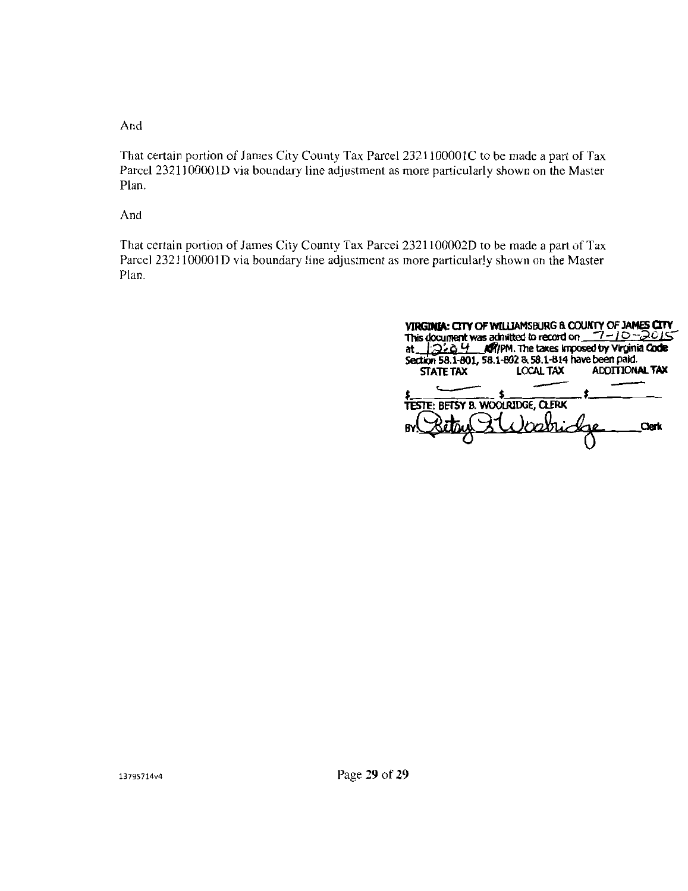And

That certain portion of James City County Tax Parcel 2321100001C to be made a part of Tax Parcel 2321100001D via boundary line adjustment as more particularly shown on the Master Plan.

And

That certain portion of James City County Tax Parcel 2321100002D to be made a part of Tax Parcel 2321100001D via boundary line adjustment as more particularly shown on the Master Plan.

| VIRGINIA: CITY OF WILLIAMSBURG & COUNTY OF JAMES CITY<br>This document was admitted to record on $7-10-2015$<br>12:04 MR/PM. The taxes imposed by Virginia Code<br>at …<br>Section 58.1-801, 58.1-802 & 58.1-814 have been paid. |                  |                       |
|----------------------------------------------------------------------------------------------------------------------------------------------------------------------------------------------------------------------------------|------------------|-----------------------|
| <b>STATE TAX</b>                                                                                                                                                                                                                 | <b>LOCAL TAX</b> | <b>ADDITIONAL TAX</b> |
| <b>TESTE: BETSY B. WOOLRIDGE, CLERK</b>                                                                                                                                                                                          |                  |                       |
|                                                                                                                                                                                                                                  | i habridge       | Merr                  |
|                                                                                                                                                                                                                                  |                  |                       |

13795714v4

Page 29 of 29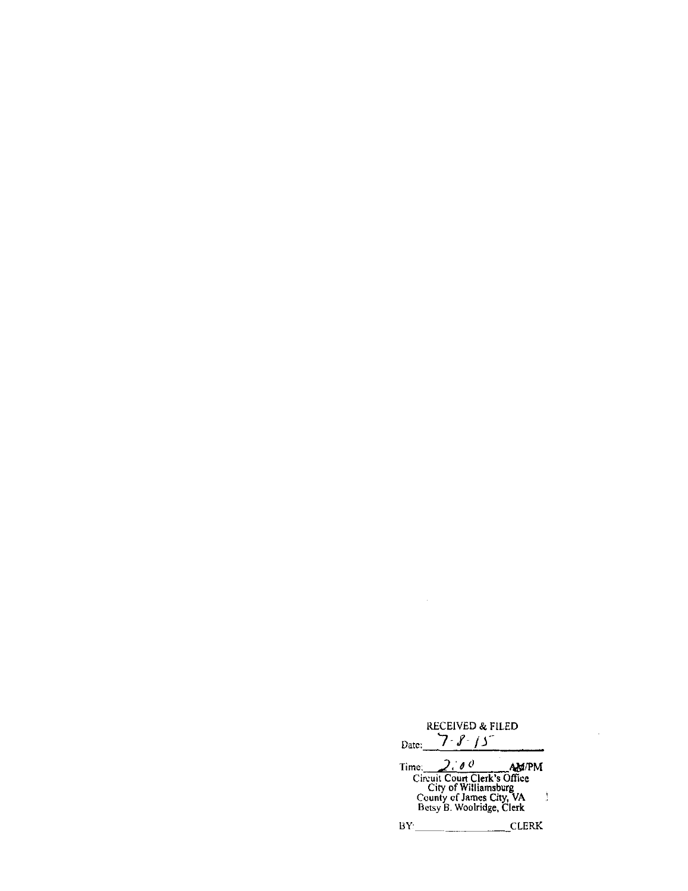RECEIVED & FILED<br>Date: *7 - 8 - 15* 

| Time: | $\theta$                                              | <b>AMPM</b> |
|-------|-------------------------------------------------------|-------------|
|       | Circuit Court Clerk's Office<br>City of Williamsburg  |             |
|       | County of James City, VA<br>Betsy B. Woolridge, Clerk |             |
|       |                                                       |             |

BY: CLERK